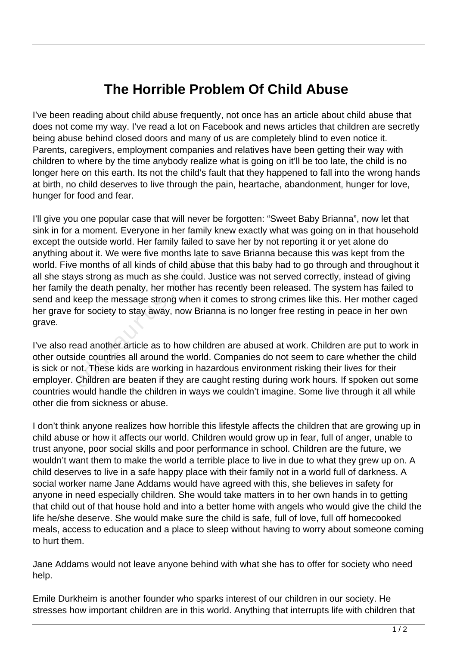## **The Horrible Problem Of Child Abuse**

I've been reading about child abuse frequently, not once has an article about child abuse that does not come my way. I've read a lot on Facebook and news articles that children are secretly being abuse behind closed doors and many of us are completely blind to even notice it. Parents, caregivers, employment companies and relatives have been getting their way with children to where by the time anybody realize what is going on it'll be too late, the child is no longer here on this earth. Its not the child's fault that they happened to fall into the wrong hands at birth, no child deserves to live through the pain, heartache, abandonment, hunger for love, hunger for food and fear.

I'll give you one popular case that will never be forgotten: "Sweet Baby Brianna", now let that sink in for a moment. Everyone in her family knew exactly what was going on in that household except the outside world. Her family failed to save her by not reporting it or yet alone do anything about it. We were five months late to save Brianna because this was kept from the world. Five months of all kinds of child abuse that this baby had to go through and throughout it all she stays strong as much as she could. Justice was not served correctly, instead of giving her family the death penalty, her mother has recently been released. The system has failed to send and keep the message strong when it comes to strong crimes like this. Her mother caged her grave for society to stay away, now Brianna is no longer free resting in peace in her own grave. e months of all kinds of child abuse<br>ys strong as much as she could. J<br>the death penalty, her mother has<br>seep the message strong when it of<br>for society to stay away, now Brian<br>ad another article as to how child<br>de countrie

I've also read another article as to how children are abused at work. Children are put to work in other outside countries all around the world. Companies do not seem to care whether the child is sick or not. These kids are working in hazardous environment risking their lives for their employer. Children are beaten if they are caught resting during work hours. If spoken out some countries would handle the children in ways we couldn't imagine. Some live through it all while other die from sickness or abuse.

I don't think anyone realizes how horrible this lifestyle affects the children that are growing up in child abuse or how it affects our world. Children would grow up in fear, full of anger, unable to trust anyone, poor social skills and poor performance in school. Children are the future, we wouldn't want them to make the world a terrible place to live in due to what they grew up on. A child deserves to live in a safe happy place with their family not in a world full of darkness. A social worker name Jane Addams would have agreed with this, she believes in safety for anyone in need especially children. She would take matters in to her own hands in to getting that child out of that house hold and into a better home with angels who would give the child the life he/she deserve. She would make sure the child is safe, full of love, full off homecooked meals, access to education and a place to sleep without having to worry about someone coming to hurt them.

Jane Addams would not leave anyone behind with what she has to offer for society who need help.

Emile Durkheim is another founder who sparks interest of our children in our society. He stresses how important children are in this world. Anything that interrupts life with children that